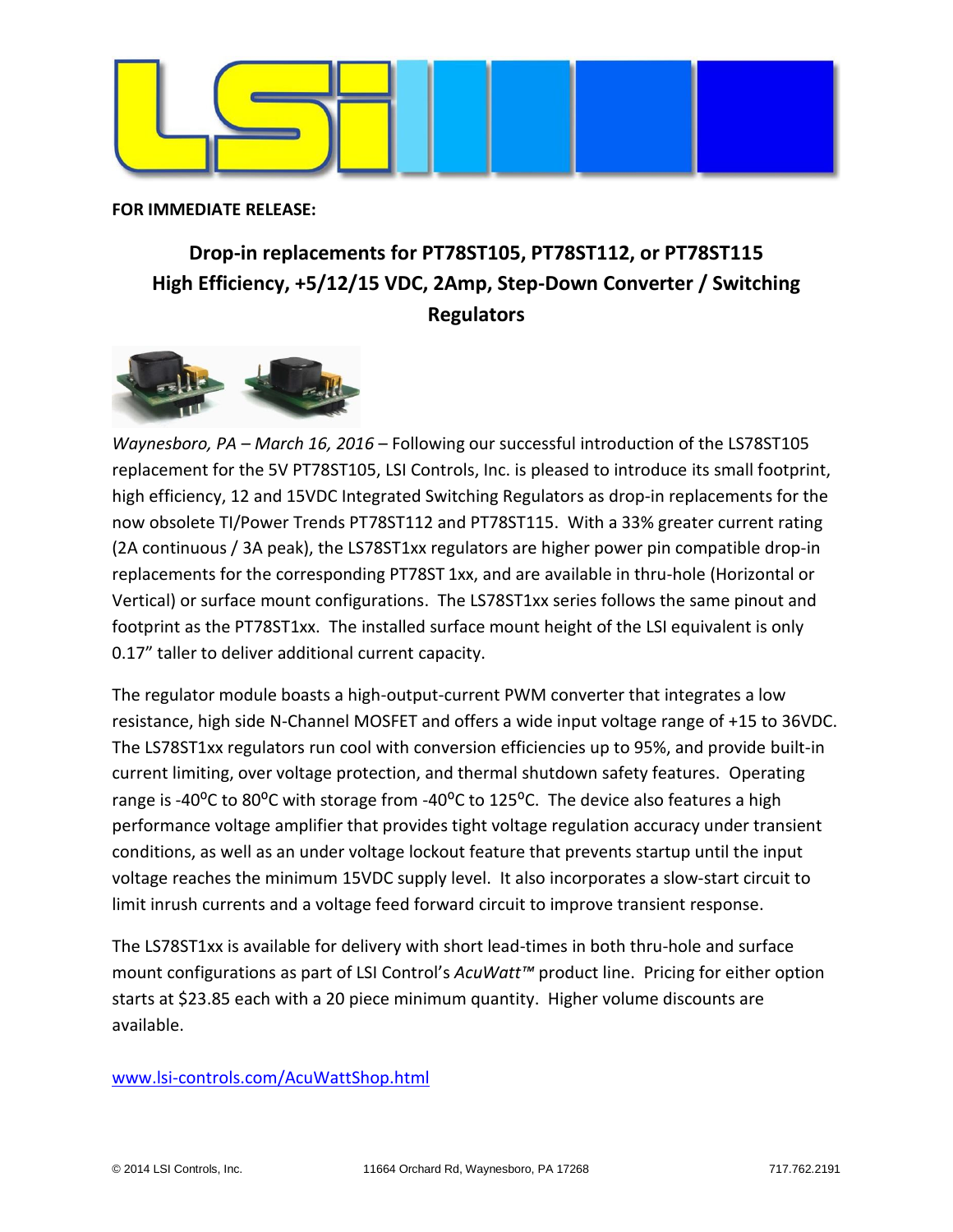

**FOR IMMEDIATE RELEASE:**

## **Drop-in replacements for PT78ST105, PT78ST112, or PT78ST115 High Efficiency, +5/12/15 VDC, 2Amp, Step-Down Converter / Switching Regulators**



*Waynesboro, PA – March 16, 2016* – Following our successful introduction of the LS78ST105 replacement for the 5V PT78ST105, LSI Controls, Inc. is pleased to introduce its small footprint, high efficiency, 12 and 15VDC Integrated Switching Regulators as drop-in replacements for the now obsolete TI/Power Trends PT78ST112 and PT78ST115. With a 33% greater current rating (2A continuous / 3A peak), the LS78ST1xx regulators are higher power pin compatible drop-in replacements for the corresponding PT78ST 1xx, and are available in thru-hole (Horizontal or Vertical) or surface mount configurations. The LS78ST1xx series follows the same pinout and footprint as the PT78ST1xx. The installed surface mount height of the LSI equivalent is only 0.17" taller to deliver additional current capacity.

The regulator module boasts a high-output-current PWM converter that integrates a low resistance, high side N-Channel MOSFET and offers a wide input voltage range of +15 to 36VDC. The LS78ST1xx regulators run cool with conversion efficiencies up to 95%, and provide built-in current limiting, over voltage protection, and thermal shutdown safety features. Operating range is -40 $^{\circ}$ C to 80 $^{\circ}$ C with storage from -40 $^{\circ}$ C to 125 $^{\circ}$ C. The device also features a high performance voltage amplifier that provides tight voltage regulation accuracy under transient conditions, as well as an under voltage lockout feature that prevents startup until the input voltage reaches the minimum 15VDC supply level. It also incorporates a slow-start circuit to limit inrush currents and a voltage feed forward circuit to improve transient response.

The LS78ST1xx is available for delivery with short lead-times in both thru-hole and surface mount configurations as part of LSI Control's *AcuWatt™* product line. Pricing for either option starts at \$23.85 each with a 20 piece minimum quantity. Higher volume discounts are available.

## [www.lsi-controls.com/](http://www.lsi-controls.com/)AcuWattShop.html